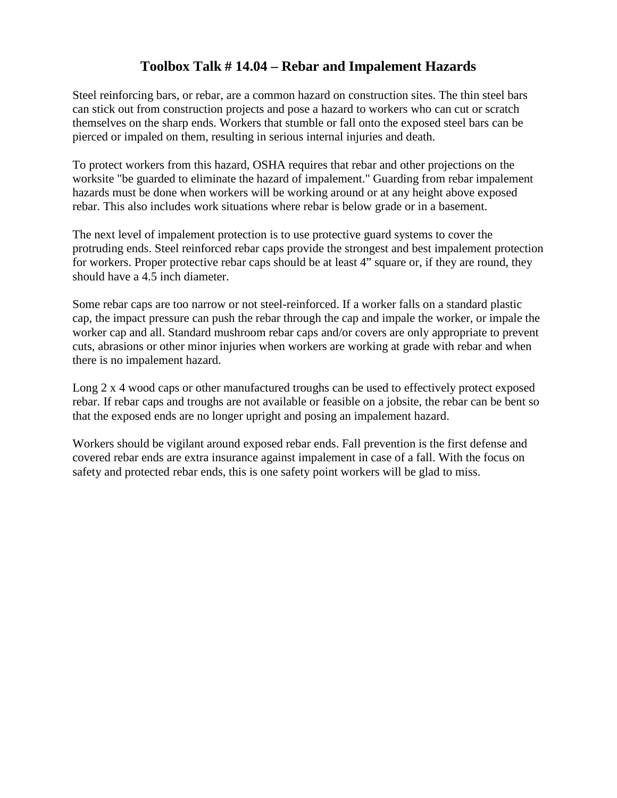## **Toolbox Talk # 14.04 – Rebar and Impalement Hazards**

Steel reinforcing bars, or rebar, are a common hazard on construction sites. The thin steel bars can stick out from construction projects and pose a hazard to workers who can cut or scratch themselves on the sharp ends. Workers that stumble or fall onto the exposed steel bars can be pierced or impaled on them, resulting in serious internal injuries and death.

To protect workers from this hazard, OSHA requires that rebar and other projections on the worksite "be guarded to eliminate the hazard of impalement." Guarding from rebar impalement hazards must be done when workers will be working around or at any height above exposed rebar. This also includes work situations where rebar is below grade or in a basement.

The next level of impalement protection is to use protective guard systems to cover the protruding ends. Steel reinforced rebar caps provide the strongest and best impalement protection for workers. Proper protective rebar caps should be at least 4" square or, if they are round, they should have a 4.5 inch diameter.

Some rebar caps are too narrow or not steel-reinforced. If a worker falls on a standard plastic cap, the impact pressure can push the rebar through the cap and impale the worker, or impale the worker cap and all. Standard mushroom rebar caps and/or covers are only appropriate to prevent cuts, abrasions or other minor injuries when workers are working at grade with rebar and when there is no impalement hazard.

Long 2 x 4 wood caps or other manufactured troughs can be used to effectively protect exposed rebar. If rebar caps and troughs are not available or feasible on a jobsite, the rebar can be bent so that the exposed ends are no longer upright and posing an impalement hazard.

Workers should be vigilant around exposed rebar ends. Fall prevention is the first defense and covered rebar ends are extra insurance against impalement in case of a fall. With the focus on safety and protected rebar ends, this is one safety point workers will be glad to miss.